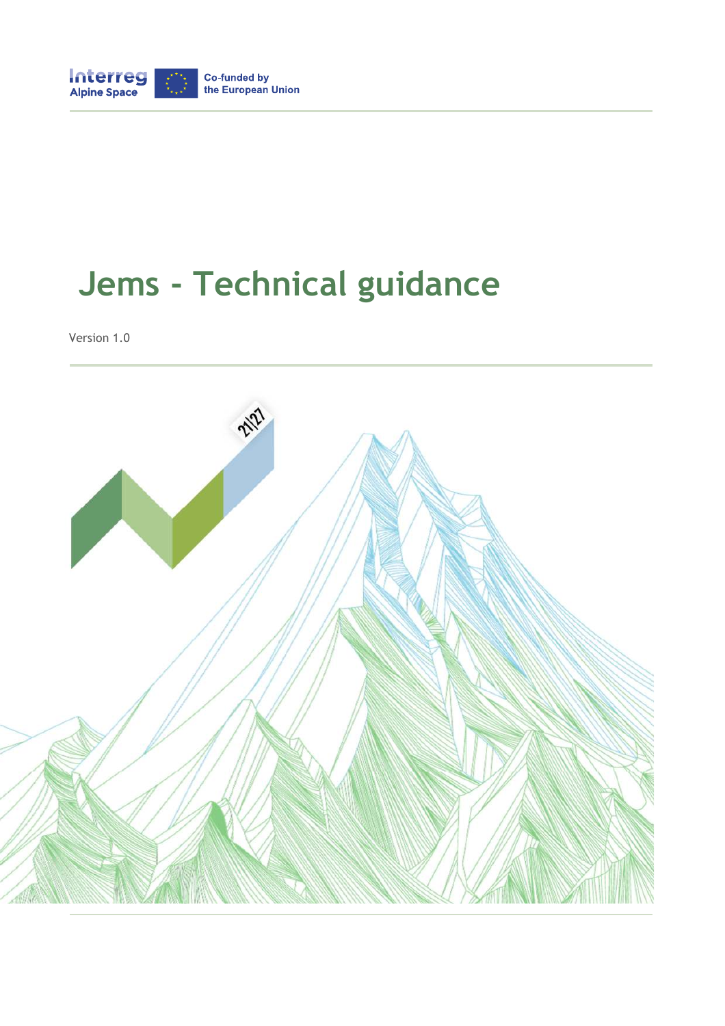

# **Jems - Technical guidance**

Version 1.0

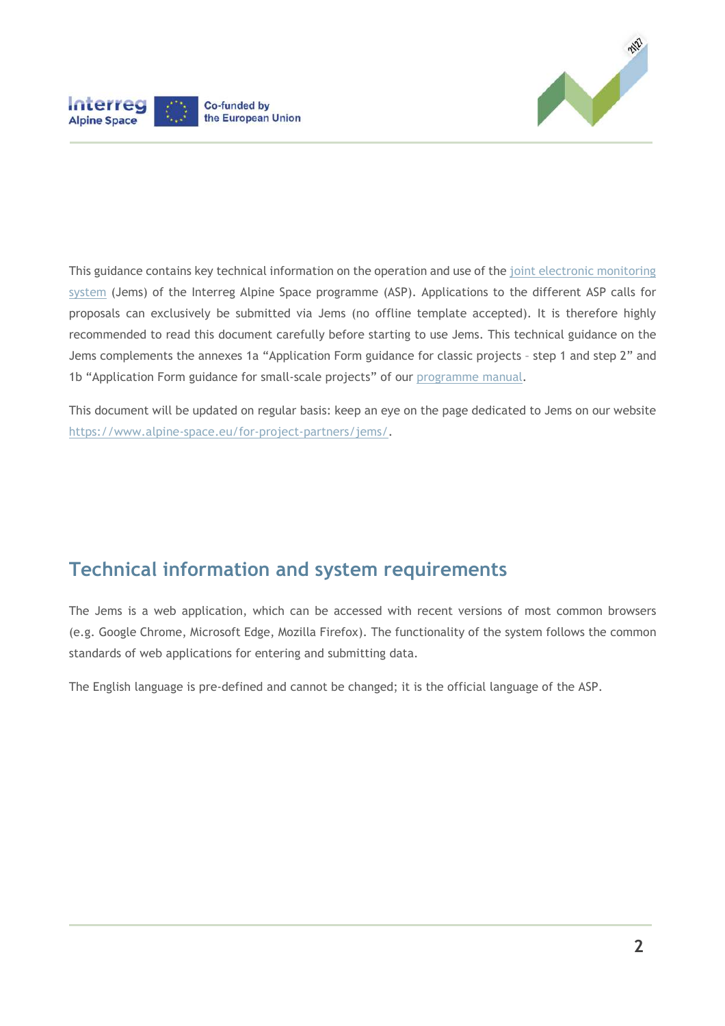



This guidance contains key technical information on the operation and use of the joint electronic monitoring system (Jems) of the Interreg Alpine Space programme (ASP). Applications to the different ASP calls for proposals can exclusively be submitted via Jems (no offline template accepted). It is therefore highly recommended to read this document carefully before starting to use Jems. This technical guidance on the Jems complements the annexes 1a "Application Form guidance for classic projects – step 1 and step 2" and 1b "Application Form guidance for small-scale projects" of our programme manual.

This document will be updated on regular basis: keep an eye on the page dedicated to Jems on our website https://www.alpine-space.eu/for-project-partners/jems/.

### **Technical information and system requirements**

The Jems is a web application, which can be accessed with recent versions of most common browsers (e.g. Google Chrome, Microsoft Edge, Mozilla Firefox). The functionality of the system follows the common standards of web applications for entering and submitting data.

The English language is pre-defined and cannot be changed; it is the official language of the ASP.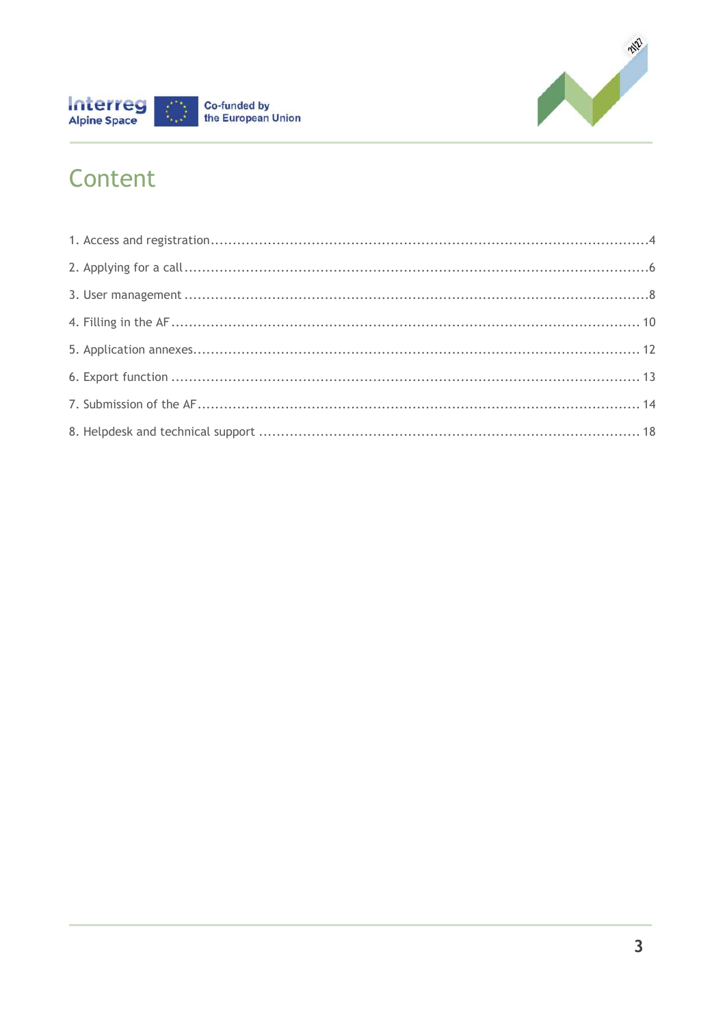



### Content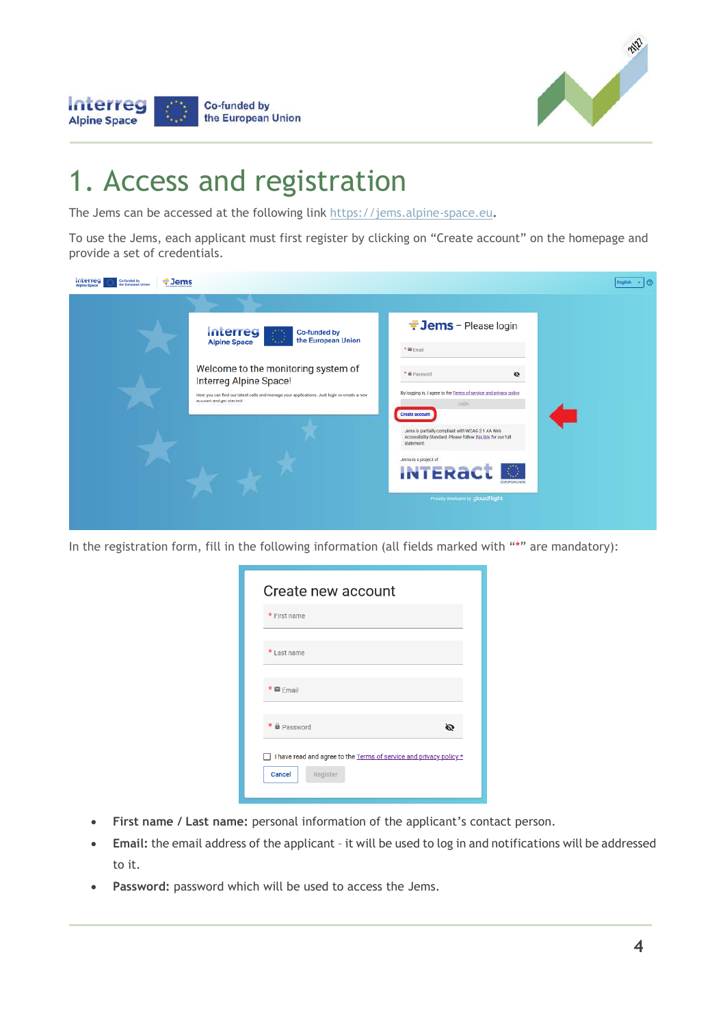

#### Interreg Co-funded by the European Union **Alpine Space**

### 1. Access and registration

The Jems can be accessed at the following link https://jems.alpine-space.eu**.** 

To use the Jems, each applicant must first register by clicking on "Create account" on the homepage and provide a set of credentials.

| Interreg<br>Co-funded by<br>$\div$ Jems<br>the European Union |                                                                                                                        |                                                                                                                                |  |
|---------------------------------------------------------------|------------------------------------------------------------------------------------------------------------------------|--------------------------------------------------------------------------------------------------------------------------------|--|
|                                                               |                                                                                                                        |                                                                                                                                |  |
|                                                               | Interreg<br><b>Co-funded by</b><br>the European Union<br>7427<br><b>Alpine Space</b>                                   | <b>Jems</b> - Please login                                                                                                     |  |
|                                                               |                                                                                                                        | * @ Email                                                                                                                      |  |
|                                                               | Welcome to the monitoring system of<br>Interreg Alpine Space!                                                          | * E Password<br>₩                                                                                                              |  |
|                                                               | Here you can find our latest calls and manage your applications. Just login or create a new<br>account and get started | By logging in, I agree to the Terms of service and privacy policy.<br>Login<br>Create account                                  |  |
|                                                               |                                                                                                                        | Jems is partially compliant with WCAG 2.1 AA Web<br>Accessibility Standard. Please follow this link for our full<br>statement. |  |
|                                                               |                                                                                                                        | Jerris is a project of<br><b>INTERACT</b><br><b>FLINDIPEAN LINER</b>                                                           |  |
|                                                               |                                                                                                                        | Proudly developed by cloudflight                                                                                               |  |

In the registration form, fill in the following information (all fields marked with "\*" are mandatory):

| Create new account                                                                              |
|-------------------------------------------------------------------------------------------------|
| * First name                                                                                    |
| * Last name                                                                                     |
| $* \nightharpoonup$ Email                                                                       |
| * <b>a</b> Password<br>Ø.                                                                       |
| I have read and agree to the Terms of service and privacy policy *<br><b>Cancel</b><br>Register |

- **First name / Last name:** personal information of the applicant's contact person.
- **Email:** the email address of the applicant it will be used to log in and notifications will be addressed to it.
- **Password:** password which will be used to access the Jems.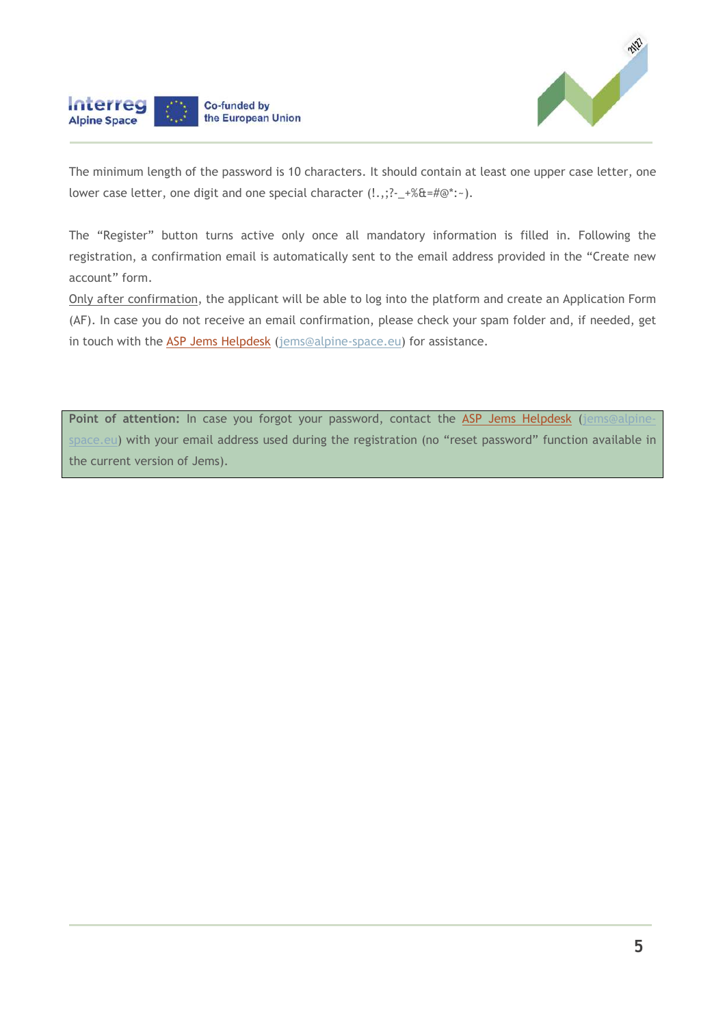

The minimum length of the password is 10 characters. It should contain at least one upper case letter, one lower case letter, one digit and one special character  $(l.,.;?--+%&#@":-)</math>.$ 

Interreg

**Alpine Space** 

Co-funded by the European Union

The "Register" button turns active only once all mandatory information is filled in. Following the registration, a confirmation email is automatically sent to the email address provided in the "Create new account" form.

Only after confirmation, the applicant will be able to log into the platform and create an Application Form (AF). In case you do not receive an email confirmation, please check your spam folder and, if needed, get in touch with the ASP Jems Helpdesk (jems@alpine-space.eu) for assistance.

Point of attention: In case you forgot your password, contact the ASP Jems Helpdesk (jems@alpinespace.eu) with your email address used during the registration (no "reset password" function available in the current version of Jems).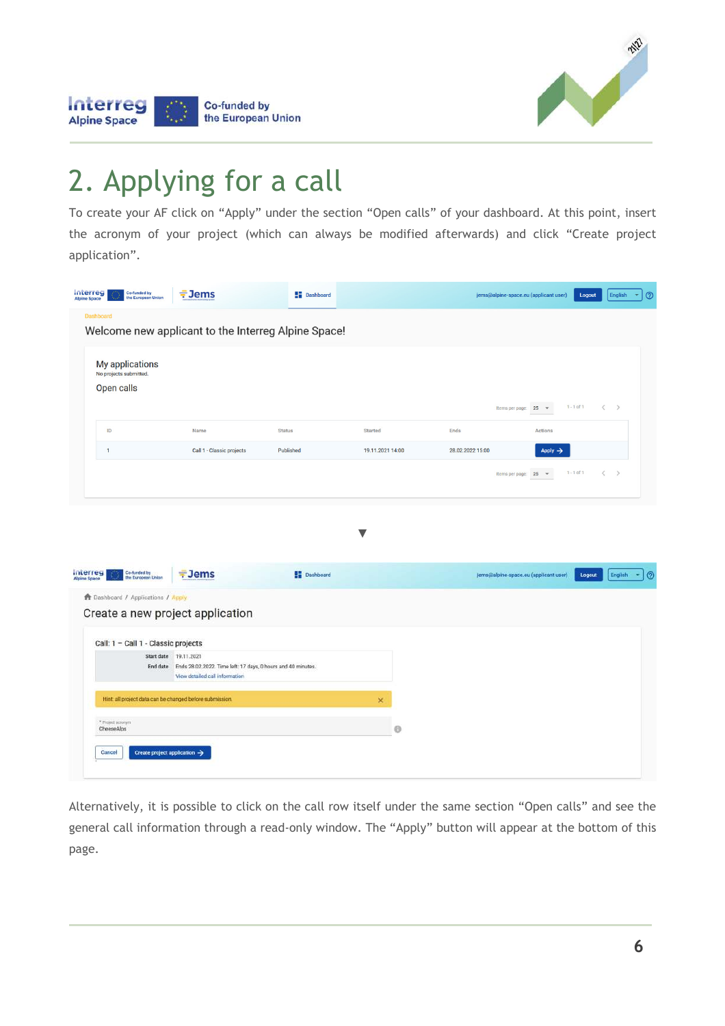

#### Interreg Co-funded by the European Union **Alpine Space**

### 2. Applying for a call

To create your AF click on "Apply" under the section "Open calls" of your dashboard. At this point, insert the acronym of your project (which can always be modified afterwards) and click "Create project application".

| <b>Interreg</b><br>Co-funded by<br>the European Union<br><b>Alpine Space</b> | $\frac{1}{7}$ Jems                                  | <b>Dashboard</b>           |                                    |                          | jems@alpine-space.eu (applicant user)             | Logout       | English<br>٠        |
|------------------------------------------------------------------------------|-----------------------------------------------------|----------------------------|------------------------------------|--------------------------|---------------------------------------------------|--------------|---------------------|
| <b>Dashboard</b>                                                             | Welcome new applicant to the Interreg Alpine Space! |                            |                                    |                          |                                                   |              |                     |
| My applications<br>No projects submitted.<br>Open calls                      |                                                     |                            |                                    |                          |                                                   |              |                     |
|                                                                              |                                                     |                            |                                    |                          | $25 -$<br>Items per page:                         | $1 - 1$ of 1 | $\langle$ $\rangle$ |
| ID                                                                           | Name<br>Call 1 - Classic projects                   | <b>Status</b><br>Published | <b>Started</b><br>19.11.2021 14:00 | Ends<br>28.02.2022 15:00 | Actions<br>Apply $\rightarrow$                    |              |                     |
|                                                                              |                                                     |                            |                                    |                          | 25<br>Items per page:<br>$\overline{\phantom{a}}$ | $1 - 1$ of 1 | $\langle$ >         |
|                                                                              |                                                     |                            |                                    |                          |                                                   |              |                     |

| interreg<br>Co-funded by<br>the European Union           | $\frac{1}{2}$ Jems                                                                                      | <b>Dashboard</b> | jems@alpine-space.eu (applicant user) | Logout | English<br>$\cdot$ | ര |
|----------------------------------------------------------|---------------------------------------------------------------------------------------------------------|------------------|---------------------------------------|--------|--------------------|---|
| <b>11</b> Dashboard / Applications / Apply               |                                                                                                         |                  |                                       |        |                    |   |
| Create a new project application                         |                                                                                                         |                  |                                       |        |                    |   |
| Call: 1 - Call 1 - Classic projects                      |                                                                                                         |                  |                                       |        |                    |   |
|                                                          | Start date 19.11.2021                                                                                   |                  |                                       |        |                    |   |
|                                                          | End date Ends 28.02.2022. Time left: 17 days, 0 hours and 40 minutes.<br>View detailed call information |                  |                                       |        |                    |   |
| Hint: all project data can be changed before submission. |                                                                                                         | ×                |                                       |        |                    |   |
| * Project acronym<br>CheeseAlps                          |                                                                                                         | e                |                                       |        |                    |   |
| Cancel                                                   | Create project application $\rightarrow$                                                                |                  |                                       |        |                    |   |

Alternatively, it is possible to click on the call row itself under the same section "Open calls" and see the general call information through a read-only window. The "Apply" button will appear at the bottom of this page.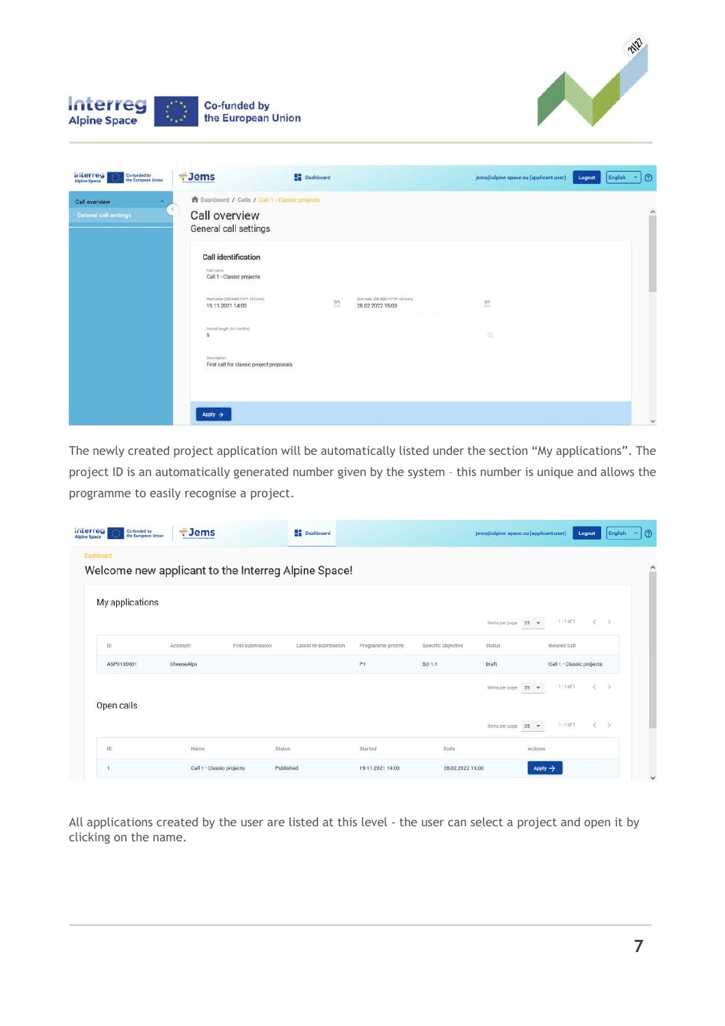



| interreg<br>Co-funded by<br>the European Union<br><b>Based</b> | $=$ Jems                                                 | <b>Dashboard</b>                         |                                                   | jems@alpine-space.eu (applicant user) | Logout | English | $\odot$      |
|----------------------------------------------------------------|----------------------------------------------------------|------------------------------------------|---------------------------------------------------|---------------------------------------|--------|---------|--------------|
| <b>Call overview</b><br>×                                      | <b>A</b> Dashboard / Calls / Call 1 - Classic projects   |                                          |                                                   |                                       |        |         |              |
| <b>General call settings</b>                                   | Call overview<br>General call settings                   |                                          |                                                   |                                       |        |         | $\wedge$     |
|                                                                | <b>Call identification</b>                               |                                          |                                                   |                                       |        |         |              |
|                                                                | Call name<br>Call 1 - Classic projects                   |                                          |                                                   |                                       |        |         |              |
|                                                                | Start date (DDAMA YYYY HHzmm)<br>19.11.2021 14:00        | $\left\langle \overline{a}\right\rangle$ | End date (DD MM, YYYY HH (mm)<br>28.02.2022 15:00 | $\left[\overline{a}\right]$           |        |         |              |
|                                                                | Period length (in munths)<br>6                           |                                          |                                                   | ×                                     |        |         |              |
|                                                                | Description:<br>First call for classic project proposals |                                          |                                                   |                                       |        |         |              |
|                                                                |                                                          |                                          |                                                   |                                       |        |         |              |
|                                                                | Apply $\rightarrow$                                      |                                          |                                                   |                                       |        |         | $\checkmark$ |

The newly created project application will be automatically listed under the section "My applications". The project ID is an automatically generated number given by the system – this number is unique and allows the programme to easily recognise a project.

| <b>Interreg</b><br>Co-funded by<br>the European Union<br>Alpine Space | $\frac{1}{2}$ Jems                                  | <b>Dashboard</b>     |                    |                    | jems@alpine-space.eu (applicant user)               | Logout                       | <b>English</b> | ි<br>٠       |
|-----------------------------------------------------------------------|-----------------------------------------------------|----------------------|--------------------|--------------------|-----------------------------------------------------|------------------------------|----------------|--------------|
| Dashboard                                                             | Welcome new applicant to the Interreg Alpine Space! |                      |                    |                    |                                                     |                              |                | ٨<br>۰       |
| My applications                                                       |                                                     |                      |                    |                    | 25<br>Items per page:<br>$\rightarrow$              | $1 - 1$ of $1$<br>$\epsilon$ | $\rightarrow$  |              |
| ID                                                                    | First submission<br>Acronym                         | Latest re-submission | Programme priority | Specific objective | <b>Status</b>                                       | Related call                 |                |              |
| ASP0100001                                                            | CheeseAlps                                          |                      | $p_1$              | SO 1.1             | Draft                                               | Call 1 - Classic projects    |                |              |
| Open calls                                                            |                                                     |                      |                    |                    | 25<br>tterns per page:<br>$\rightarrow$             | $1 + 1$ of 1                 |                |              |
|                                                                       |                                                     |                      |                    |                    | items per page:<br>25 <sub>2</sub><br>$\mathcal{L}$ | $1 - 1$ of 1<br>e            | - 55           |              |
| 1D                                                                    | Name                                                | Status               | Started            | Ends               | Actions                                             |                              |                |              |
| $\overline{1}$                                                        | Call 1 - Classic projects                           | Published            | 19.11.2021 14:00   | 28.02.2022 15:00   | Apply $\rightarrow$                                 |                              |                | $\checkmark$ |

All applications created by the user are listed at this level - the user can select a project and open it by clicking on the name.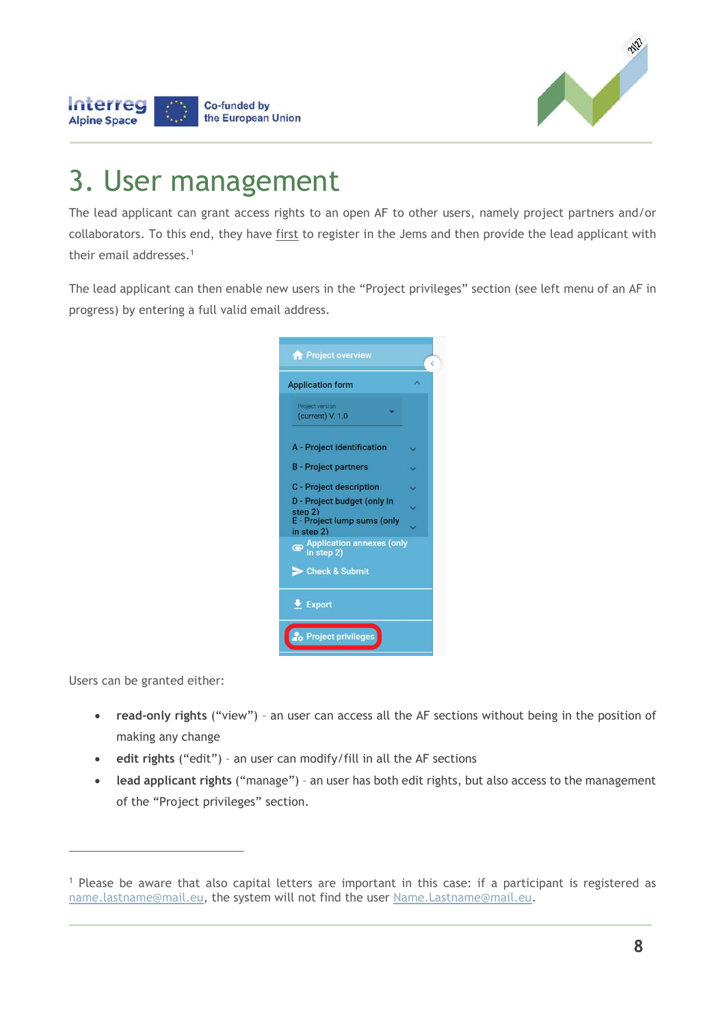

### 3. User management

**Co-funded by** the European Union

Interreg

**Alpine Space** 

The lead applicant can grant access rights to an open AF to other users, namely project partners and/or collaborators. To this end, they have first to register in the Jems and then provide the lead applicant with their email addresses.<sup>1</sup>

The lead applicant can then enable new users in the "Project privileges" section (see left menu of an AF in progress) by entering a full valid email address.

| <b>Project overview</b>                                               | k |
|-----------------------------------------------------------------------|---|
| <b>Application form</b>                                               |   |
| Project version<br>(current) V. 1.0                                   |   |
| A - Project identification                                            |   |
| <b>B</b> - Project partners                                           |   |
| <b>C</b> - Project description                                        |   |
| D - Project budget (only in<br>step 2)<br>E - Project lump sums (only |   |
| in step 2)<br>Application annexes (only<br>in step 2)                 |   |
| Check & Submit                                                        |   |
| $\overline{\phantom{a}}$ Export                                       |   |
| Project privileges                                                    |   |

Users can be granted either:

 $\overline{a}$ 

- **read-only rights** ("view") an user can access all the AF sections without being in the position of making any change
- **edit rights** ("edit") an user can modify/fill in all the AF sections
- **lead applicant rights** ("manage") an user has both edit rights, but also access to the management of the "Project privileges" section.

<sup>&</sup>lt;sup>1</sup> Please be aware that also capital letters are important in this case: if a participant is registered as name.lastname@mail.eu, the system will not find the user Name.Lastname@mail.eu.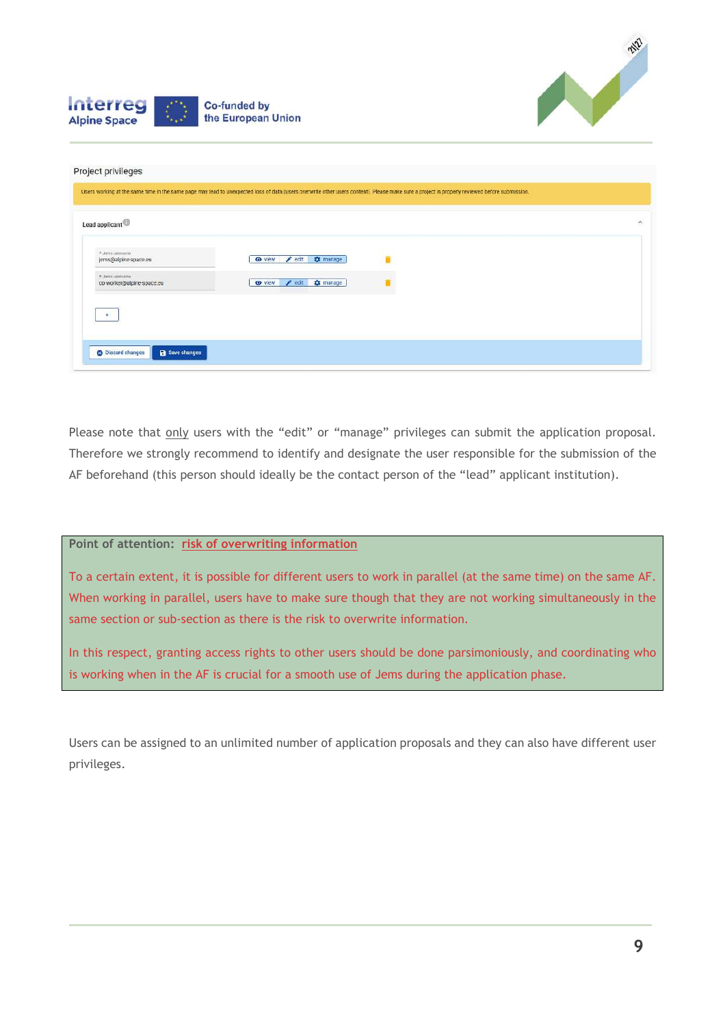



| Lead applicant                               |                                              |  |
|----------------------------------------------|----------------------------------------------|--|
| * Jens userramé<br>jems@alpine-space.eu      | $\angle$ edit<br><b>C</b> t manage<br>O view |  |
| * Jems username<br>co-worker@alpine-space.eu | edit to manage<br><b>O</b> view              |  |
| $+$                                          |                                              |  |

Please note that only users with the "edit" or "manage" privileges can submit the application proposal. Therefore we strongly recommend to identify and designate the user responsible for the submission of the AF beforehand (this person should ideally be the contact person of the "lead" applicant institution).

### **Point of attention: risk of overwriting information**

To a certain extent, it is possible for different users to work in parallel (at the same time) on the same AF. When working in parallel, users have to make sure though that they are not working simultaneously in the same section or sub-section as there is the risk to overwrite information.

In this respect, granting access rights to other users should be done parsimoniously, and coordinating who is working when in the AF is crucial for a smooth use of Jems during the application phase.

Users can be assigned to an unlimited number of application proposals and they can also have different user privileges.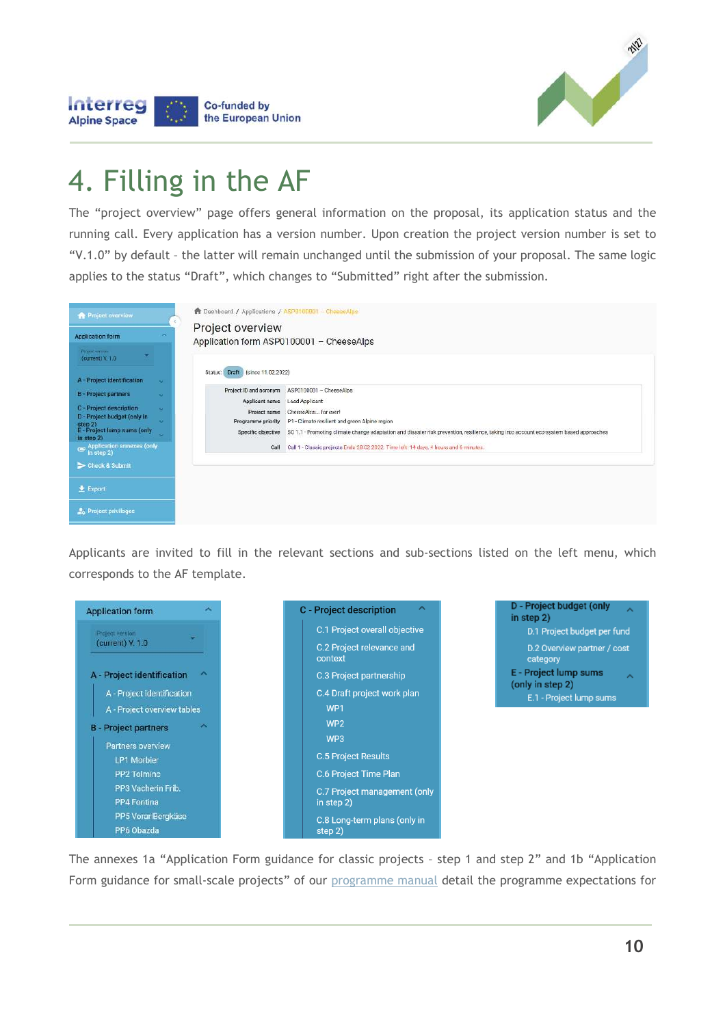

### 4. Filling in the AF

Co-funded by the European Union

**Interreg** 

**Alpine Space** 

The "project overview" page offers general information on the proposal, its application status and the running call. Every application has a version number. Upon creation the project version number is set to "V.1.0" by default – the latter will remain unchanged until the submission of your proposal. The same logic applies to the status "Draft", which changes to "Submitted" right after the submission.

| <b>A</b> Project overview                                                                                  | <b>T</b> Dashboard / Applications / ASP0100001 - CheeseAlps                                                                                                                                                                                                                  |
|------------------------------------------------------------------------------------------------------------|------------------------------------------------------------------------------------------------------------------------------------------------------------------------------------------------------------------------------------------------------------------------------|
| $\overline{\phantom{a}}$<br><b>Application form</b><br>Thomas version                                      | Project overview<br>Application form ASP0100001 - CheeseAlps                                                                                                                                                                                                                 |
| (current) V. 1.0<br>A - Project identification<br>$\sim$                                                   | Draft (since 11.02.2022)<br>Status:                                                                                                                                                                                                                                          |
| <b>B</b> - Project partners<br>$\sim$                                                                      | Project ID and acronym<br>ASP0100001 - CheeseAlps<br>Applicant name<br>Lead Applicant                                                                                                                                                                                        |
| C - Project description<br>$\sim$<br>D - Project budget (only in<br>step 2)<br>E - Project lump sums (only | CheeseAlos for ever!<br>Project name<br>P1 - Climate resilient and green Alpine region<br>Programme priority<br>Specific objective<br>SO 1.1 - Promoting climate change adaptation and disaster risk prevention, resilience, taking into account eco-system based approaches |
| $\sim$<br>in step 2)<br>Application annexes (only<br>In step 2)<br>$\bullet$                               | Call 1 - Classic projects Ends 28.02.2022. Time left: 14 days, 4 hours and 6 minutes.<br>Call                                                                                                                                                                                |
| Check & Submit                                                                                             |                                                                                                                                                                                                                                                                              |
| $\triangle$ Export                                                                                         |                                                                                                                                                                                                                                                                              |
| <b>Project privileges</b>                                                                                  |                                                                                                                                                                                                                                                                              |

Applicants are invited to fill in the relevant sections and sub-sections listed on the left menu, which corresponds to the AF template.



D - Project budget (only in step 2) D.1 Project budget per fund D.2 Overview partner / cost category E - Project lump sums (only in step 2) E.1 - Project lump sums

The annexes 1a "Application Form guidance for classic projects – step 1 and step 2" and 1b "Application Form guidance for small-scale projects" of our programme manual detail the programme expectations for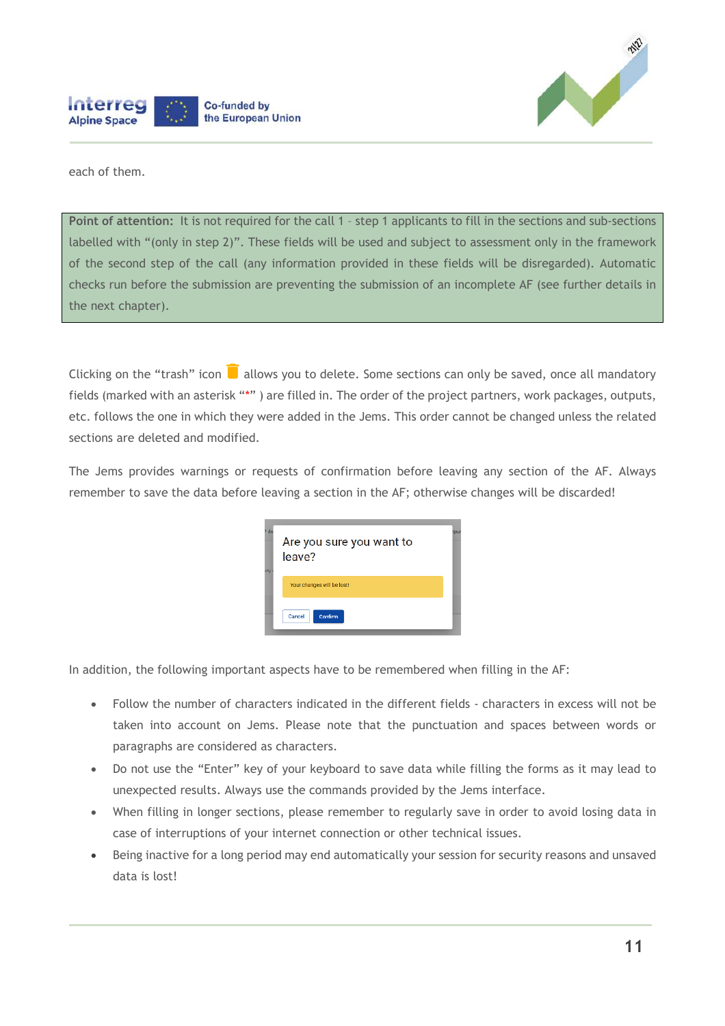



each of them.

**Point of attention:** It is not required for the call 1 – step 1 applicants to fill in the sections and sub-sections labelled with "(only in step 2)". These fields will be used and subject to assessment only in the framework of the second step of the call (any information provided in these fields will be disregarded). Automatic checks run before the submission are preventing the submission of an incomplete AF (see further details in the next chapter).

Clicking on the "trash" icon  $\blacksquare$  allows you to delete. Some sections can only be saved, once all mandatory fields (marked with an asterisk "\*" ) are filled in. The order of the project partners, work packages, outputs, etc. follows the one in which they were added in the Jems. This order cannot be changed unless the related sections are deleted and modified.

The Jems provides warnings or requests of confirmation before leaving any section of the AF. Always remember to save the data before leaving a section in the AF; otherwise changes will be discarded!

| <sup>2</sup> de<br>ally | Are you sure you want to<br>leave? | mul |
|-------------------------|------------------------------------|-----|
|                         | Your changes will be lost!         |     |
|                         | Confirm<br>Cancel                  |     |

In addition, the following important aspects have to be remembered when filling in the AF:

- Follow the number of characters indicated in the different fields characters in excess will not be taken into account on Jems. Please note that the punctuation and spaces between words or paragraphs are considered as characters.
- Do not use the "Enter" key of your keyboard to save data while filling the forms as it may lead to unexpected results. Always use the commands provided by the Jems interface.
- When filling in longer sections, please remember to regularly save in order to avoid losing data in case of interruptions of your internet connection or other technical issues.
- Being inactive for a long period may end automatically your session for security reasons and unsaved data is lost!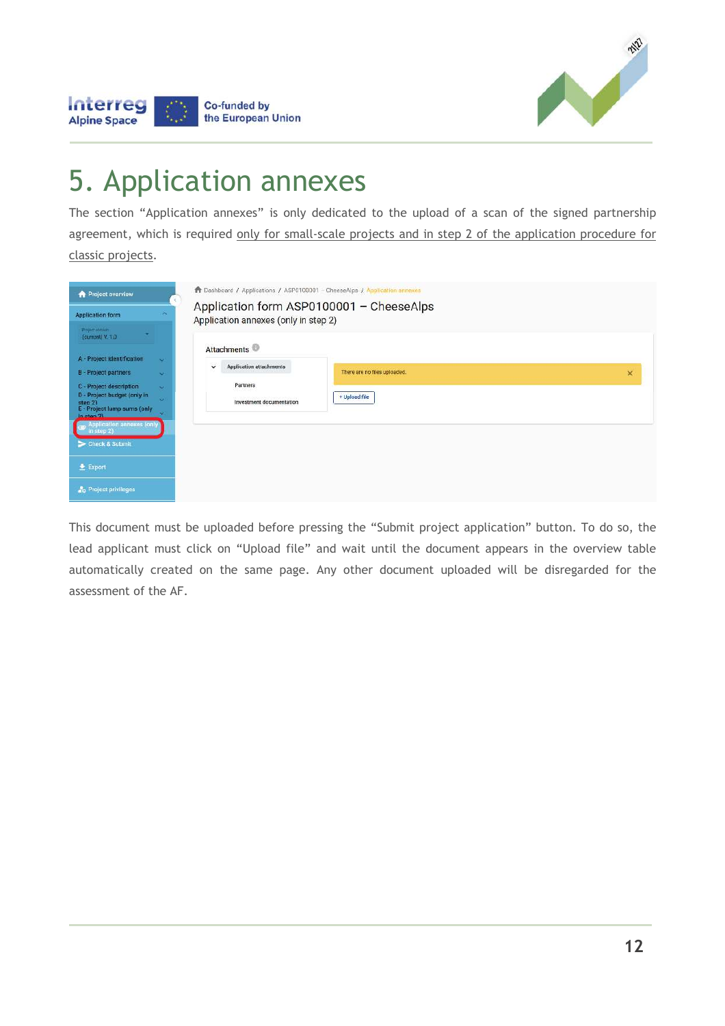

# 5. Application annexes

Co-funded by the European Union

Interreg

**Alpine Space** 

The section "Application annexes" is only dedicated to the upload of a scan of the signed partnership agreement, which is required only for small-scale projects and in step 2 of the application procedure for classic projects.

| <b>A</b> Project overview                                                                                                                                                                                                                                                                       | <b>T</b> Dashboard / Applications / ASP0100001 - CheeseAlps / Application annexes                                                                                  |
|-------------------------------------------------------------------------------------------------------------------------------------------------------------------------------------------------------------------------------------------------------------------------------------------------|--------------------------------------------------------------------------------------------------------------------------------------------------------------------|
| $\sim$<br><b>Application form</b><br>Project earnight<br>(current) V. 1.0                                                                                                                                                                                                                       | Application form ASP0100001 - CheeseAlps<br>Application annexes (only in step 2)                                                                                   |
| A - Project Identification<br>$\sim$<br><b>B</b> - Project partners<br>$\overline{\phantom{a}}$<br>C - Project description<br>$\infty$<br>D - Project budget (only in<br>$\sim$<br>sten 2)<br>E - Project lump sums (only<br>$\sim$<br>$in_{\text{atan }2}$<br><b>Application annexes (only</b> | <b>Attachments</b><br><b>Application attachments</b><br>$\checkmark$<br>There are no files uploaded.<br>×<br>Partners<br>+ Upload file<br>Investment documentation |
| in step $2)$<br>Check & Submit<br>$E$ Export<br>Project privileges                                                                                                                                                                                                                              |                                                                                                                                                                    |

This document must be uploaded before pressing the "Submit project application" button. To do so, the lead applicant must click on "Upload file" and wait until the document appears in the overview table automatically created on the same page. Any other document uploaded will be disregarded for the assessment of the AF.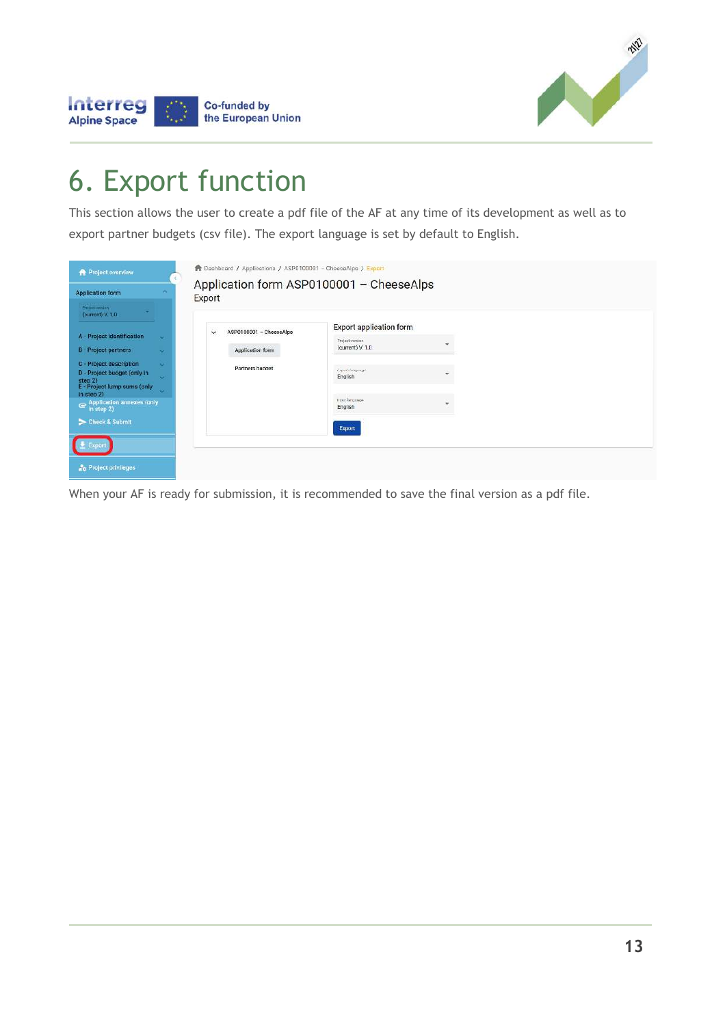

### 6. Export function

Co-funded by the European Union

Interreg

**Alpine Space** 

This section allows the user to create a pdf file of the AF at any time of its development as well as to export partner budgets (csv file). The export language is set by default to English.

| <b>Project overview</b>                                                                                          |                          | Bashboard / Applications / ASP0100001 - CheeseAlps / Export |                                                   |   |
|------------------------------------------------------------------------------------------------------------------|--------------------------|-------------------------------------------------------------|---------------------------------------------------|---|
| <b>Application form</b>                                                                                          |                          | Application form ASP0100001 - CheeseAlps<br>Export          |                                                   |   |
| Project version<br>(current) V. 1.0                                                                              |                          |                                                             |                                                   |   |
| A - Project identification                                                                                       | $\overline{\phantom{a}}$ | ASP0100001 - CheeseAlps<br>$\checkmark$                     | <b>Export application form</b><br>Froject version | ÷ |
| <b>B</b> - Project partners                                                                                      | $\sim$                   | Application form                                            | (current) V. 1.0                                  |   |
| C - Project description<br>D - Project budget (only in<br>step 2)<br>E - Project lump sums (only<br>in step $2)$ | $\sim$<br>is.<br>$\sim$  | Partners budget                                             | <b>Tappis hospings</b><br>English                 |   |
| $\bullet$ Application annexes (only $\circ$ in step 2)                                                           |                          |                                                             | проставляем<br>English                            | ۰ |
| Scheck & Submit                                                                                                  |                          |                                                             | Export                                            |   |
| <b>BEEDING</b>                                                                                                   |                          |                                                             |                                                   |   |
| <b>Project privileges</b>                                                                                        |                          |                                                             |                                                   |   |

When your AF is ready for submission, it is recommended to save the final version as a pdf file.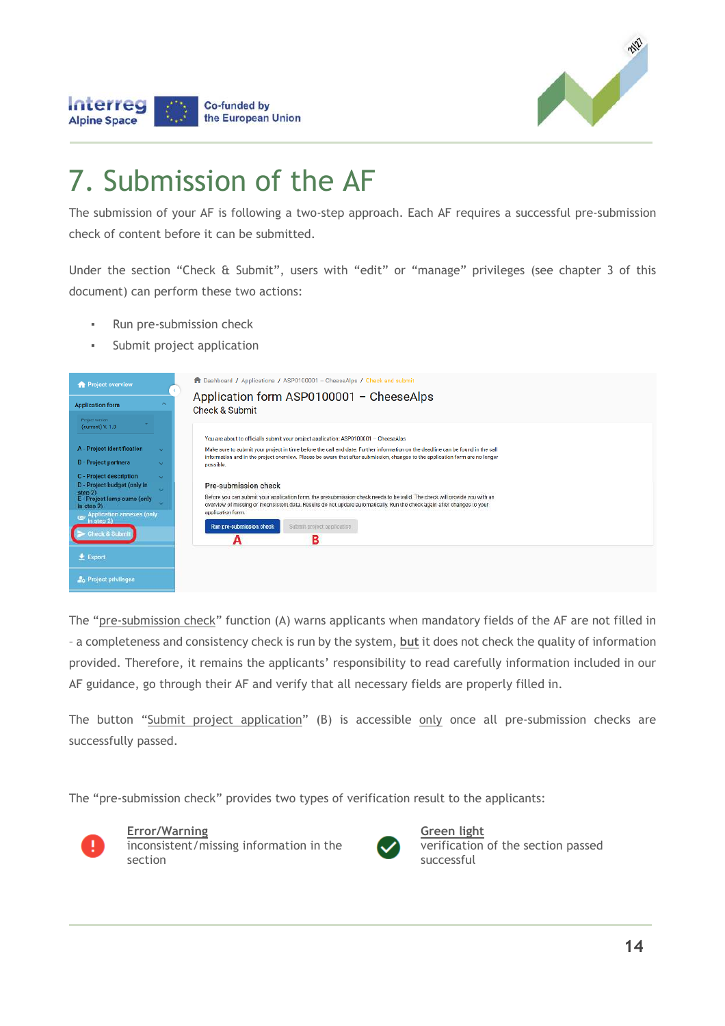



## 7. Submission of the AF

The submission of your AF is following a two-step approach. Each AF requires a successful pre-submission check of content before it can be submitted.

Under the section "Check & Submit", users with "edit" or "manage" privileges (see chapter 3 of this document) can perform these two actions:

- Run pre-submission check
- Submit project application

| <b>Project overview</b>                                               |                            | <b>T</b> Dashboard / Applications / ASP0100001 - CheeseAlps / Check and submit                                                                                                                                                                                   |
|-----------------------------------------------------------------------|----------------------------|------------------------------------------------------------------------------------------------------------------------------------------------------------------------------------------------------------------------------------------------------------------|
| <b>Application form</b>                                               | $\mathcal{A}_{\mathbf{c}}$ | Application form ASP0100001 - CheeseAlps<br><b>Check &amp; Submit</b>                                                                                                                                                                                            |
| Project version<br>(current) V. 1.0                                   |                            | You are about to officially submit your project application: ASP0100001 - CheeseAlps                                                                                                                                                                             |
| A - Project Identification                                            | $\sim$                     | Make sure to submit your project in time before the call end date. Further information on the deadline can be found in the call<br>information and in the project overview. Please be aware that after submission, changes to the application form are no longer |
| <b>B</b> - Project partners<br>C - Project description                | $\sim$<br>$\sim$           | possible.                                                                                                                                                                                                                                                        |
| D - Project budget (only in<br>step 2)<br>E - Project lump sums (only |                            | <b>Pre-submission check</b><br>Before you can submit your application form, the presubmission-check needs to be valid. The check will provide you with an                                                                                                        |
| $in$ step $2)$<br><b>Application annexes (only</b><br>$\overline{a}$  |                            | overview of missing or inconsistent data. Results do not update automatically. Run the check again after changes to your<br>apolication form.                                                                                                                    |
| In step 21<br>heck & Submit                                           |                            | Run pre-submission check<br>Submit project application<br>в                                                                                                                                                                                                      |
| $E$ Export                                                            |                            |                                                                                                                                                                                                                                                                  |
| <b>Project privileges</b>                                             |                            |                                                                                                                                                                                                                                                                  |

The "pre-submission check" function (A) warns applicants when mandatory fields of the AF are not filled in – a completeness and consistency check is run by the system, **but** it does not check the quality of information provided. Therefore, it remains the applicants' responsibility to read carefully information included in our AF guidance, go through their AF and verify that all necessary fields are properly filled in.

The button "Submit project application" (B) is accessible only once all pre-submission checks are successfully passed.

The "pre-submission check" provides two types of verification result to the applicants:



**Error/Warning** inconsistent/missing information in the section



**Green light** verification of the section passed successful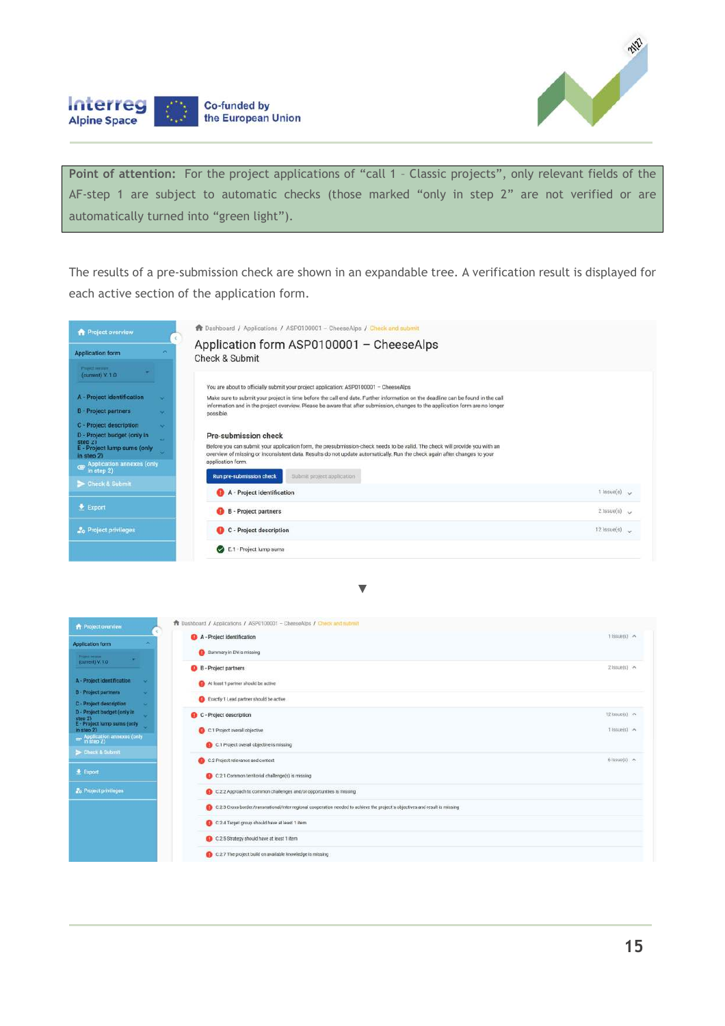

Interreg **Co-funded by** the European Union **Alpine Space** 

Point of attention: For the project applications of "call 1 - Classic projects", only relevant fields of the AF-step 1 are subject to automatic checks (those marked "only in step 2" are not verified or are automatically turned into "green light").

The results of a pre-submission check are shown in an expandable tree. A verification result is displayed for each active section of the application form.

| <b>Project overview</b>                                                                                                                                                                                                                                                                                     | <b>A</b> Dashboard / Applications / ASP0100001 - CheeseAlps / Check and submit                                                                                                                                                                                                                                                                                                                                                                                                                                                                                                                                                                                                                                                          |                      |  |
|-------------------------------------------------------------------------------------------------------------------------------------------------------------------------------------------------------------------------------------------------------------------------------------------------------------|-----------------------------------------------------------------------------------------------------------------------------------------------------------------------------------------------------------------------------------------------------------------------------------------------------------------------------------------------------------------------------------------------------------------------------------------------------------------------------------------------------------------------------------------------------------------------------------------------------------------------------------------------------------------------------------------------------------------------------------------|----------------------|--|
| ×<br><b>Application form</b>                                                                                                                                                                                                                                                                                | Application form ASP0100001 - CheeseAlps<br>Check & Submit                                                                                                                                                                                                                                                                                                                                                                                                                                                                                                                                                                                                                                                                              |                      |  |
| Proset service.<br>$(current)$ V. 1.0<br>A - Project identification<br>×<br><b>B</b> - Project partners<br>×.<br><b>C</b> - Project description<br>$\sim$<br>D - Project budget (only in<br>u.<br>step 2)<br>E - Project lump sums (only<br>w.<br>in step $2)$<br>Application annexes (only<br>in step $2)$ | You are about to officially submit your project application: ASP0100001 - CheeseAlps<br>Make sure to submit your project in time before the call end date. Further information on the deadline can be found in the call<br>information and in the project overview. Please be aware that after submission, changes to the application form are no longer<br>possible.<br>Pre-submission check<br>Before you can submit your application form, the presubmission-check needs to be valid. The check will provide you with an<br>overview of missing or inconsistent data. Results do not update automatically. Run the check again after changes to your<br>application form.<br>Run pre-submission check<br>Submit project application. |                      |  |
| > Check & Submit                                                                                                                                                                                                                                                                                            | A - Project identification                                                                                                                                                                                                                                                                                                                                                                                                                                                                                                                                                                                                                                                                                                              | $1$ issue(s) $\sim$  |  |
| $E$ Export                                                                                                                                                                                                                                                                                                  | <b>B</b> - Project partners                                                                                                                                                                                                                                                                                                                                                                                                                                                                                                                                                                                                                                                                                                             | $2$ issue(s) $\sim$  |  |
| <b>A</b> <sub>G</sub> Project privileges                                                                                                                                                                                                                                                                    | C - Project description                                                                                                                                                                                                                                                                                                                                                                                                                                                                                                                                                                                                                                                                                                                 | $12$ issue(s) $\sim$ |  |
|                                                                                                                                                                                                                                                                                                             | E.1 - Project lump sums<br>$\omega$                                                                                                                                                                                                                                                                                                                                                                                                                                                                                                                                                                                                                                                                                                     |                      |  |

▼

| <b>Project overview</b>                                                | <b>A</b> Dashboard / Applications / ASP0100001 - CheeseAlps / Check and nubmit                                                 |                      |
|------------------------------------------------------------------------|--------------------------------------------------------------------------------------------------------------------------------|----------------------|
| <b>Application form</b>                                                | A - Project identification                                                                                                     | $1$ Issue(s) $\land$ |
| <b>Higher Service</b>                                                  | Summary in EN is missing                                                                                                       |                      |
| fourrent) V. 10                                                        | <b>B</b> - Project partners                                                                                                    | $2$ hsue(s) $\land$  |
| A - Project identification<br>×                                        | At least 1 partner should be active                                                                                            |                      |
| <b>B</b> - Project partners<br><b>A</b>                                | Exactly 1 Lead partner should be active                                                                                        |                      |
| C - Project description<br>٠<br>D - Project budget (only in<br>step 2) | C - Project description                                                                                                        | 12 Issue(s) A        |
| E - Project lump sums (only<br>in step 2)                              | C.1 Project overall objective                                                                                                  | 1 Issue(s) ~         |
| Application annoxes (only)                                             | C.1 Project overall objective is missing                                                                                       |                      |
| Check & Submit                                                         | C.2 Project relevance and context                                                                                              | $6$ issue(s) $\sim$  |
| $E$ Export                                                             | C.2.1 Common territorial challenge(s) is missing                                                                               |                      |
| <b>L</b> e Project privileges                                          | C.2.2 Approach to common challenges and/or opportunities is missing                                                            |                      |
|                                                                        | 1 0:2.3 Cross-border/transnational/inter-regional cooperation needed to achieve the project's objectives and result is missing |                      |
|                                                                        | C.2.4 Target group should have at least 1 item                                                                                 |                      |
|                                                                        | C.2.5 Strategy should have at least 1 item                                                                                     |                      |
|                                                                        | C 2.7 The project high on available inquireme is missing.                                                                      |                      |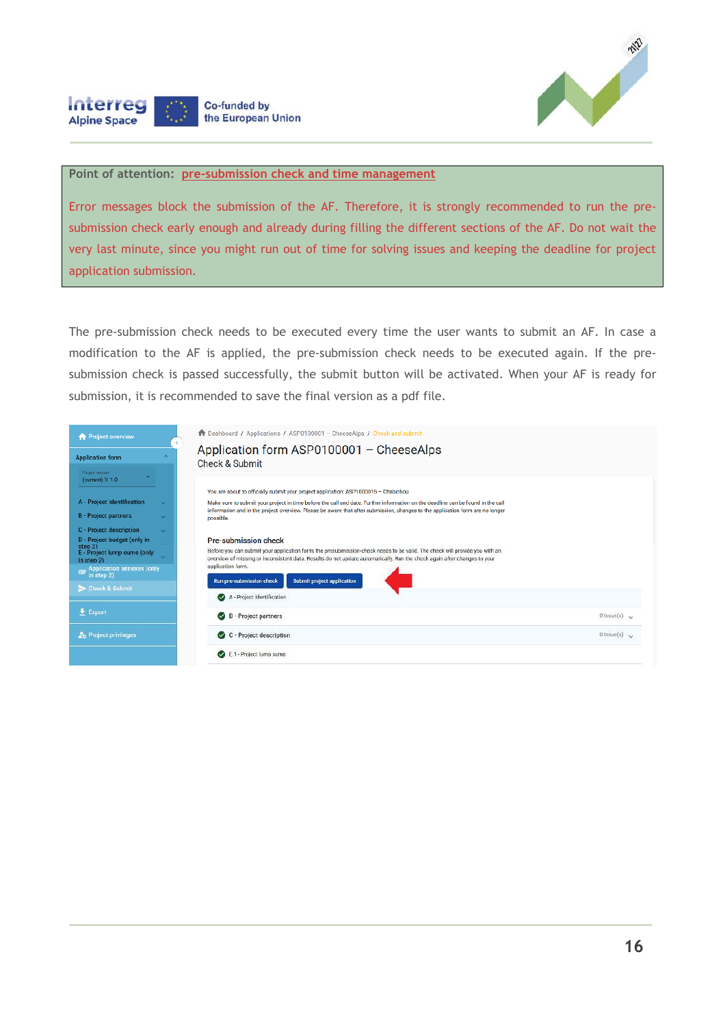

#### **Point of attention: pre-submission check and time management**

Co-funded by the European Union

**Interreg** 

**Alpine Space** 

Error messages block the submission of the AF. Therefore, it is strongly recommended to run the presubmission check early enough and already during filling the different sections of the AF. Do not wait the very last minute, since you might run out of time for solving issues and keeping the deadline for project application submission.

The pre-submission check needs to be executed every time the user wants to submit an AF. In case a modification to the AF is applied, the pre-submission check needs to be executed again. If the presubmission check is passed successfully, the submit button will be activated. When your AF is ready for submission, it is recommended to save the final version as a pdf file.

| <b>A</b> Project overview                                                                                                                                                                                                                                                                                                                                                                    | The Dashboard / Applications / ASP0100001 - CheeseAlps / Check and submit                                                                                                                                                                                                                                                                                                                                                                                                                                                                                                                                                                                                                                                                                                                                                                                                                                |
|----------------------------------------------------------------------------------------------------------------------------------------------------------------------------------------------------------------------------------------------------------------------------------------------------------------------------------------------------------------------------------------------|----------------------------------------------------------------------------------------------------------------------------------------------------------------------------------------------------------------------------------------------------------------------------------------------------------------------------------------------------------------------------------------------------------------------------------------------------------------------------------------------------------------------------------------------------------------------------------------------------------------------------------------------------------------------------------------------------------------------------------------------------------------------------------------------------------------------------------------------------------------------------------------------------------|
| <b>Application form</b><br>Project version<br>(current) V. 1.0<br>A - Project identification<br>$\sim$<br><b>B</b> - Project partners<br>$\sim$<br>C - Project description<br>$\sim$<br>D - Project budget (only in<br>step 2)<br>E - Project lump sums (only<br>$\sim$<br>In step $2)$<br><b>Application annexes (only</b><br>$\epsilon$<br>in step $2)$<br>Check & Submit<br><b>Export</b> | Application form ASP0100001 - CheeseAlps<br>Check & Submit<br>You are about to officially submit your project application: ASP1000015 - Chabichou<br>Make sure to submit your project in time before the call end date. Further information on the deadline can be found in the call<br>information and in the project overview. Please be aware that after submission, changes to the application form are no longer<br>possible.<br><b>Pre-submission check</b><br>Before you can submit your application form, the presubmission-check needs to be valid. The check will provide you with an<br>overview of missing or inconsistent data. Results do not update automatically. Run the check again after changes to your<br>application form.<br>Submit project application<br>Run pre-submission check<br>A - Project identification<br><b>B</b> - Project partners<br>$0$ Issue(s) $\sim$<br>$\sim$ |
| <b>2<sub>0</sub></b> Project privileges                                                                                                                                                                                                                                                                                                                                                      | C - Project description<br>$0$ issue(s)<br>E.1 - Project lump sums                                                                                                                                                                                                                                                                                                                                                                                                                                                                                                                                                                                                                                                                                                                                                                                                                                       |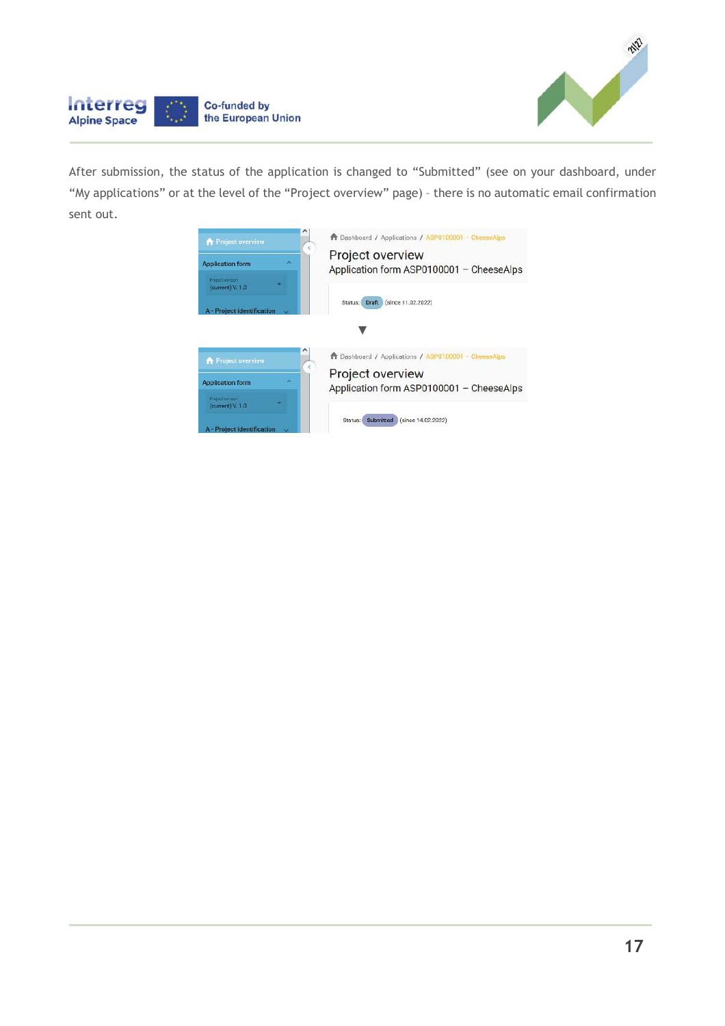



After submission, the status of the application is changed to "Submitted" (see on your dashboard, under "My applications" or at the level of the "Project overview" page) – there is no automatic email confirmation sent out.